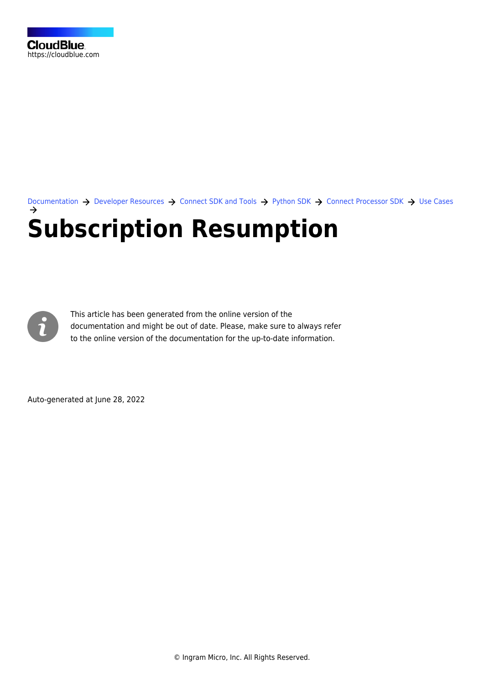[Documentation](https://connect.cloudblue.com/documentation)  $\rightarrow$  [Developer Resources](https://connect.cloudblue.com/community/developers/)  $\rightarrow$  [Connect SDK and Tools](https://connect.cloudblue.com/community/developers/sdk/)  $\rightarrow$  [Python SDK](https://connect.cloudblue.com/community/developers/sdk/python-sdk/)  $\rightarrow$  [Connect Processor SDK](https://connect.cloudblue.com/community/developers/sdk/python-sdk/connect-processor-sdk/)  $\rightarrow$  [Use Cases](https://connect.cloudblue.com/community/developers/sdk/python-sdk/connect-processor-sdk/use-cases/) **[Subscription Resumption](https://connect.cloudblue.com/community/developers/sdk/python-sdk/connect-processor-sdk/use-cases/subscription-resumption/)**



This article has been generated from the online version of the documentation and might be out of date. Please, make sure to always refer to the online version of the documentation for the up-to-date information.

Auto-generated at June 28, 2022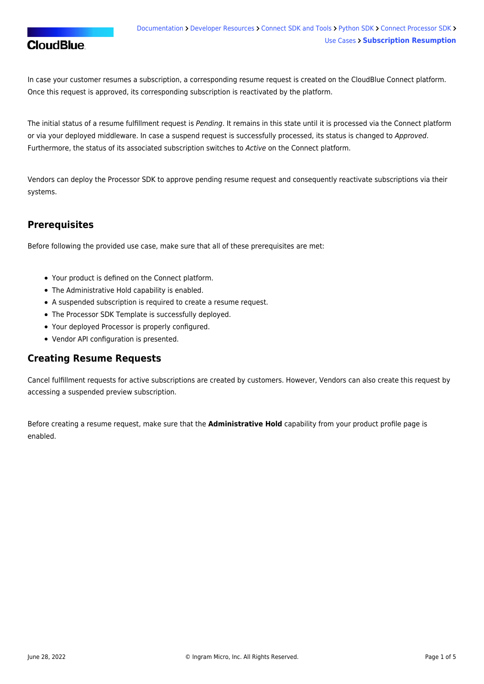# **CloudBlue**

In case your customer resumes a subscription, a corresponding resume request is created on the CloudBlue Connect platform. Once this request is approved, its corresponding subscription is reactivated by the platform.

The initial status of a resume fulfillment request is Pending. It remains in this state until it is processed via the Connect platform or via your deployed middleware. In case a suspend request is successfully processed, its status is changed to Approved. Furthermore, the status of its associated subscription switches to Active on the Connect platform.

Vendors can deploy the Processor SDK to approve pending resume request and consequently reactivate subscriptions via their systems.

### **Prerequisites**

Before following the provided use case, make sure that all of these prerequisites are met:

- Your [product](https://connect.cloudblue.com/community/modules/products/) is defined on the Connect platform.
- The [Administrative Hold](https://connect.cloudblue.com/community/modules/products/capabilities/) capability is enabled.
- A suspended [subscription](https://connect.cloudblue.com/community/modules/subscriptions/) is required to create a resume request.
- The [Processor SDK Template](https://connect.cloudblue.com/community/sdk/connect-processor-sdk/processor-template/) is successfully deployed.
- Your deployed Processor is [properly configured.](https://connect.cloudblue.com/community/sdk/connect-processor-sdk/configuration/)
- [Vendor API configuration](https://connect.cloudblue.com/community/sdk/connect-processor-sdk/configuration/#Connection_configuration) is presented.

### **Creating Resume Requests**

Cancel fulfillment requests for active subscriptions are created by customers. However, Vendors can also create this request by accessing a suspended preview subscription.

Before creating a resume request, make sure that the **Administrative Hold** capability from your product profile page is enabled.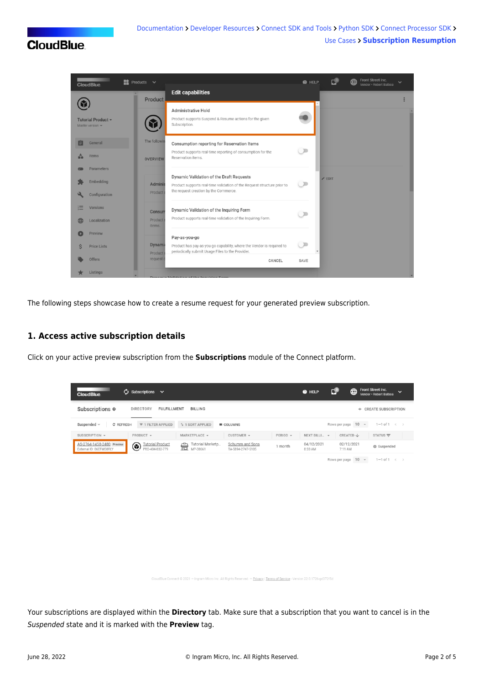## **CloudBlue**



The following steps showcase how to create a resume request for your generated preview subscription.

#### **1. Access active subscription details**

Click on your active preview subscription from the **Subscriptions** module of the Connect platform.

| $\mathcal{L}$ Subscriptions $\sim$<br><b>CloudBlue</b>                                                  |                                   |                                      |                      | @ HELP                | с®<br>⊕               | Front Street Inc.<br>$\checkmark$<br>Vendor . Robert Raiboa |
|---------------------------------------------------------------------------------------------------------|-----------------------------------|--------------------------------------|----------------------|-----------------------|-----------------------|-------------------------------------------------------------|
| Subscriptions <sup>o</sup><br><b>DIRECTORY</b><br><b>FULFILLMENT</b>                                    | <b>BILLING</b>                    |                                      |                      |                       | $+$                   | <b>CREATE SUBSCRIPTION</b>                                  |
| Suspended ~<br>₹ 1 FILTER APPLIED<br>C REFRESH                                                          | <sup>1</sup> 1 SORT APPLIED       | <b>III</b> COLUMNS                   |                      |                       | Rows per page $10 -$  | $1-1$ of $1 \leq$                                           |
| SUBSCRIPTION -<br>PRODUCT $\blacktriangledown$                                                          | MARKETPLACE -                     | CUSTOMER $\sim$                      | $PERIOD \rightarrow$ | NEXT BILLI ~          | CREATED ↓             | STATUS $\equiv$                                             |
| AS-2764-1458-2480 Preview<br><b>Tutorial Product</b><br>◉<br>PRD-404-832-779<br>External ID: 86EFMS8RLY | Tutorial Marketp<br>壸<br>MP-38661 | Schumm and Sons<br>TA-5894-2747-5105 | 1 month              | 04/12/2021<br>8:33 AM | 02/12/2021<br>7:11 AM | Suspended                                                   |
|                                                                                                         |                                   |                                      |                      |                       | Rows per page 10 -    | $1-1$ of $1 \leq$                                           |

ect © 2021 - Ingram Micro Inc. All Rights Reserved. - Privacy | Terms of Service - Version 22.0.1726-gd372f5d

Your subscriptions are displayed within the **Directory** tab. Make sure that a subscription that you want to cancel is in the Suspended state and it is marked with the **Preview** tag.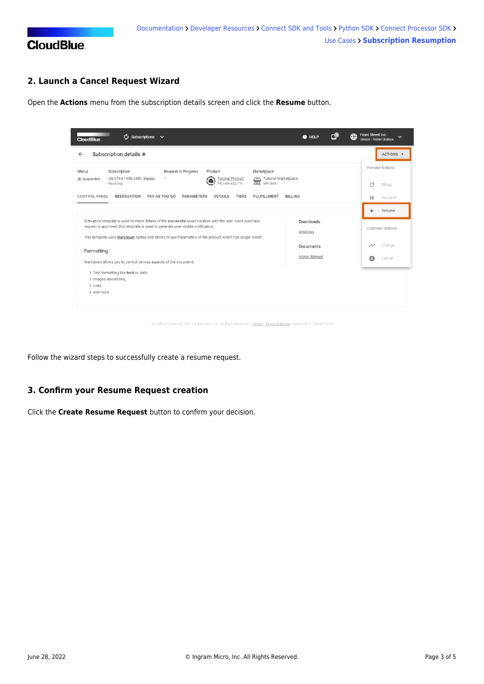

#### **2. Launch a Cancel Request Wizard**

Open the **Actions** menu from the subscription details screen and click the **Resume** button.

| $\omega$ Subscriptions $\sim$<br><b>CloudBlue</b>                                                                                                                                               | ⊕<br>@ HELP             | Front Street Inc.<br>$\check{ }$<br>Vendor · Robert Balboa |
|-------------------------------------------------------------------------------------------------------------------------------------------------------------------------------------------------|-------------------------|------------------------------------------------------------|
| Subscription details $\bullet$<br>$\leftarrow$                                                                                                                                                  |                         | ACTIONS -                                                  |
| Request In Progress<br>Marketplace<br><b>Status</b><br>Subscription<br>Product                                                                                                                  |                         | <b>Provider Actions</b>                                    |
| AS-2764-1458-2480 Preview<br><b>Tutorial Marketplace</b><br><b>Tutorial Product</b><br>Tutorial N<br>MP-38661<br>Suspended<br>€<br>PRD-404-832-779<br>Recurring                                 |                         | C<br>Billing                                               |
| <b>CONTROL PANEL</b><br><b>RESERVATION</b><br>PAY AS YOU GO<br><b>PARAMETERS</b><br><b>DETAILS</b><br><b>TIERS</b><br><b>FULFILLMENT</b>                                                        | <b>BILLING</b>          | Suspend<br>н                                               |
|                                                                                                                                                                                                 |                         | Resume                                                     |
| Activation template is used to share details of the successful asset creation with the user. Once purchase<br>request is approved, this template is used to generate user-visible notification. | <b>Customer Actions</b> |                                                            |
| This template uses Markdown syntax and allows to use Parameters of the product which has scope 'Asset'.                                                                                         | Documents               | Change<br>$\rightsquigarrow$                               |
| Formatting<br>Markdown allows you to control various aspects of the document:                                                                                                                   | α<br>Cancel             |                                                            |
| 1. Text formatting like bold or italic                                                                                                                                                          |                         |                                                            |
| 2. Images embedding                                                                                                                                                                             |                         |                                                            |
| 3. Lists<br>4. and more                                                                                                                                                                         |                         |                                                            |

- Ingram Micro Inc. All Rights Reserved. — <u>Privacy</u> | <u>Terms of Service</u> - Version 22.0.1726-gd372f5c

Follow the wizard steps to successfully create a resume request.

#### **3. Confirm your Resume Request creation**

Click the **Create Resume Request** button to confirm your decision.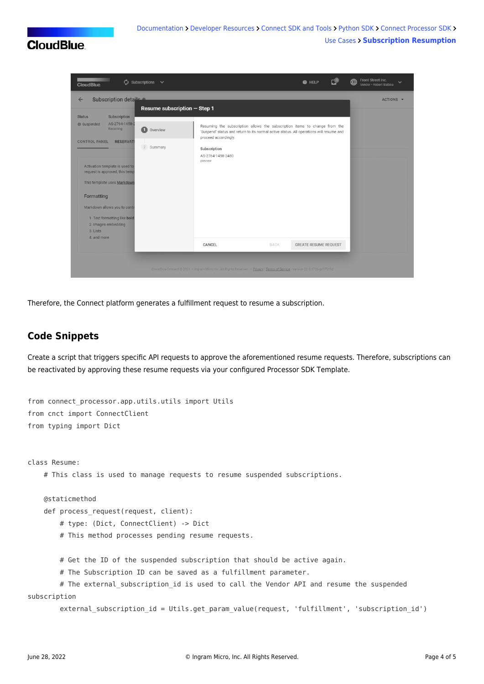## **CloudBlue**



Therefore, the Connect platform generates a fulfillment request to resume a subscription.

### **Code Snippets**

Create a script that triggers specific API requests to approve the aforementioned resume requests. Therefore, subscriptions can be reactivated by approving these resume requests via your configured [Processor SDK Template](https://github.com/cloudblue/connect-processor-template-for-python).

```
from connect processor.app.utils.utils import Utils
from cnct import ConnectClient
from typing import Dict
class Resume:
     # This class is used to manage requests to resume suspended subscriptions.
     @staticmethod
    def process request(request, client):
         # type: (Dict, ConnectClient) -> Dict
         # This method processes pending resume requests.
         # Get the ID of the suspended subscription that should be active again.
         # The Subscription ID can be saved as a fulfillment parameter.
        # The external subscription_id is used to call the Vendor API and resume the suspended
subscription
        external subscription id = Utils.get param value(request, 'fulfillment', 'subscription id')
```